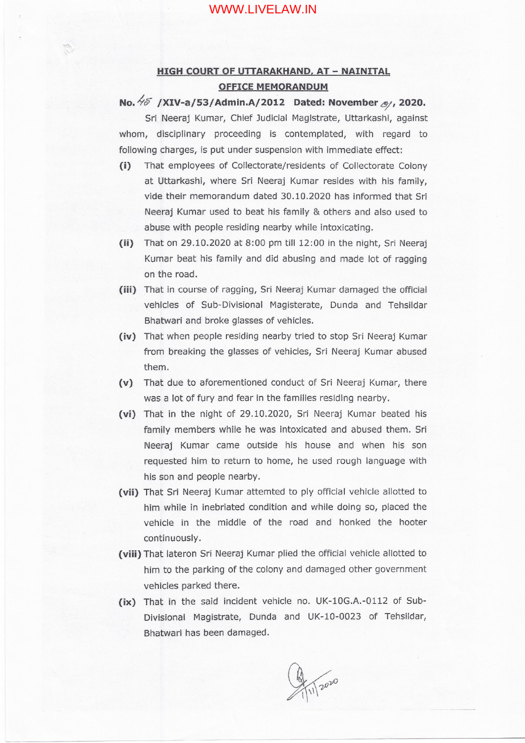## WWW.LIVELAW.IN

## **HIGH COURT OF UTTARAKHAND, AT - NAINITAl OFFICE MEMORANDUM**

## *No.*  $\frac{1}{6}$  /XIV-a/53/Admin.A/2012 Dated: November  $\mathcal{O}_1$ , 2020.

Sri Neeraj Kumar, Chief Judicial Magistrate, Uttarkashi, against whom, disciplinary proceeding is contemplated, with regard to following charges, is put under suspension with immediate effect:

- **(i)** That employees of Collectorate/resldents of Collectorate Colony at Uttarkashi, where Sri Neeraj Kumar resides with his family, vide their memorandum dated 30.10.2020 has informed that Sri Neeraj Kumar used to beat his family & others and also used to abuse with people residing nearby while intoxicating.
- **(n)** That on 29.10.2020 at 8:00 prn till 12:00 in the night, Sri Neeraj Kumar beat his family and did abusing and made lot of ragging on the road.
- **(iii)** That in course of ragging, Sri Neeraj Kumar damaged the official vehicles of Sub-Divisional Magisterate, Dunda and Tehsildar Bhatwari and broke glasses of vehicles.
- **(iv)** That when people residing nearby tried to stop Sri Neeraj Kumar from breaking the glasses of vehicles, Sri Neeraj Kumar abused them.
- **(v)** That due to aforementioned conduct of Sri Neeraj Kumar, there was a lot of fury and fear in the families residing nearby.
- **(vi)** That in the night of 29.10.2020, Sri Neeraj Kumar beated his family members while he was intoxicated and abused them. Sri Neeraj Kumar came outside his house and when his son requested him to return to home, he used rough language with his son and people nearby.
- **(vii)** That Sri Neeraj Kumar attemted to ply official vehicle allotted to him while in inebriated condition and while doing so, placed the vehicle in the middle of the road and honked the hooter continuously.
- **(viii)** That lateron Sri Neeraj Kumar plied the official vehicle allotted to him to the parking of the colony and damaged other government vehicles parked there.
- (ix) That in the said incident vehicle no. UK-10G.A.-0112 of Sub-Divisional Magistrate, Dunda and UK-10-0023 of Tehsildar, Bhatwari has been damaged.

2020